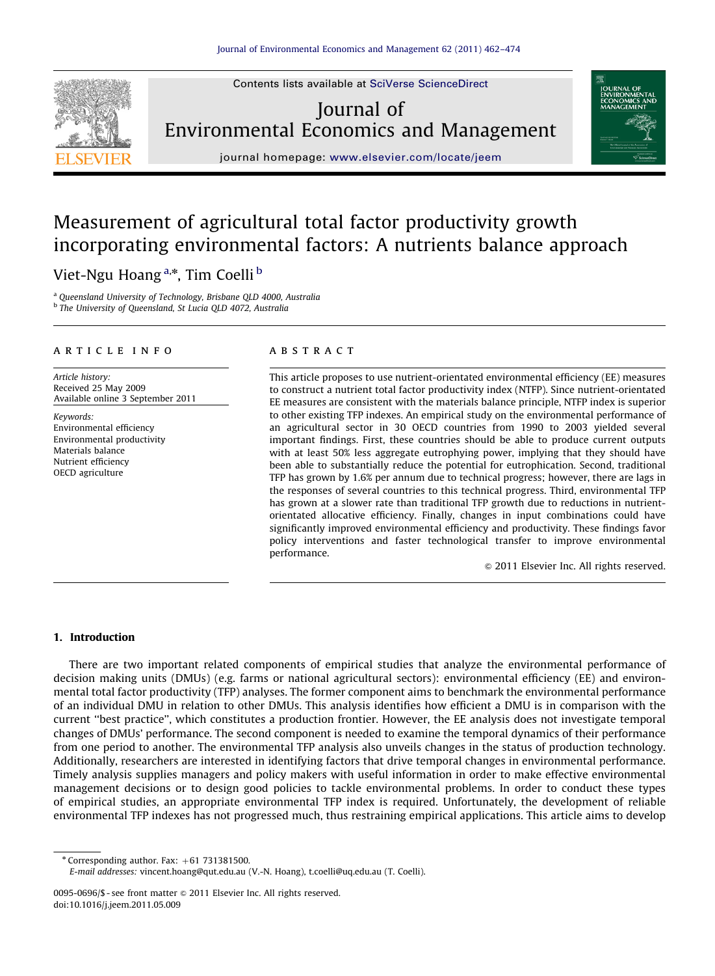Journal of Environmental Economics and Management

Contents lists available at [SciVerse ScienceDirect](www.elsevier.com/locate/jeem)



journal homepage: <www.elsevier.com/locate/jeem>

## Measurement of agricultural total factor productivity growth incorporating environmental factors: A nutrients balance approach

### Viet-Ngu Hoang<sup>a,\*</sup>, Tim Coelli <sup>b</sup>

<sup>a</sup> Queensland University of Technology, Brisbane QLD 4000, Australia <sup>b</sup> The University of Queensland, St Lucia QLD 4072, Australia

#### article info

Article history: Received 25 May 2009 Available online 3 September 2011

Keywords: Environmental efficiency Environmental productivity Materials balance Nutrient efficiency OECD agriculture

#### **ABSTRACT**

This article proposes to use nutrient-orientated environmental efficiency (EE) measures to construct a nutrient total factor productivity index (NTFP). Since nutrient-orientated EE measures are consistent with the materials balance principle, NTFP index is superior to other existing TFP indexes. An empirical study on the environmental performance of an agricultural sector in 30 OECD countries from 1990 to 2003 yielded several important findings. First, these countries should be able to produce current outputs with at least 50% less aggregate eutrophying power, implying that they should have been able to substantially reduce the potential for eutrophication. Second, traditional TFP has grown by 1.6% per annum due to technical progress; however, there are lags in the responses of several countries to this technical progress. Third, environmental TFP has grown at a slower rate than traditional TFP growth due to reductions in nutrientorientated allocative efficiency. Finally, changes in input combinations could have significantly improved environmental efficiency and productivity. These findings favor policy interventions and faster technological transfer to improve environmental performance.

 $\odot$  2011 Elsevier Inc. All rights reserved.

#### 1. Introduction

There are two important related components of empirical studies that analyze the environmental performance of decision making units (DMUs) (e.g. farms or national agricultural sectors): environmental efficiency (EE) and environmental total factor productivity (TFP) analyses. The former component aims to benchmark the environmental performance of an individual DMU in relation to other DMUs. This analysis identifies how efficient a DMU is in comparison with the current ''best practice'', which constitutes a production frontier. However, the EE analysis does not investigate temporal changes of DMUs' performance. The second component is needed to examine the temporal dynamics of their performance from one period to another. The environmental TFP analysis also unveils changes in the status of production technology. Additionally, researchers are interested in identifying factors that drive temporal changes in environmental performance. Timely analysis supplies managers and policy makers with useful information in order to make effective environmental management decisions or to design good policies to tackle environmental problems. In order to conduct these types of empirical studies, an appropriate environmental TFP index is required. Unfortunately, the development of reliable environmental TFP indexes has not progressed much, thus restraining empirical applications. This article aims to develop

 $*$  Corresponding author. Fax:  $+61$  731381500.

E-mail addresses: [vincent.hoang@qut.edu.au \(V.-N. Hoang\),](mailto:vincent.hoang@qut.edu.au) [t.coelli@uq.edu.au \(T. Coelli\).](mailto:t.coelli@uq.edu.au)

<sup>0095-0696/\$ -</sup> see front matter  $\odot$  2011 Elsevier Inc. All rights reserved. doi:[10.1016/j.jeem.2011.05.009](dx.doi.org/10.1016/j.jeem.2011.05.009)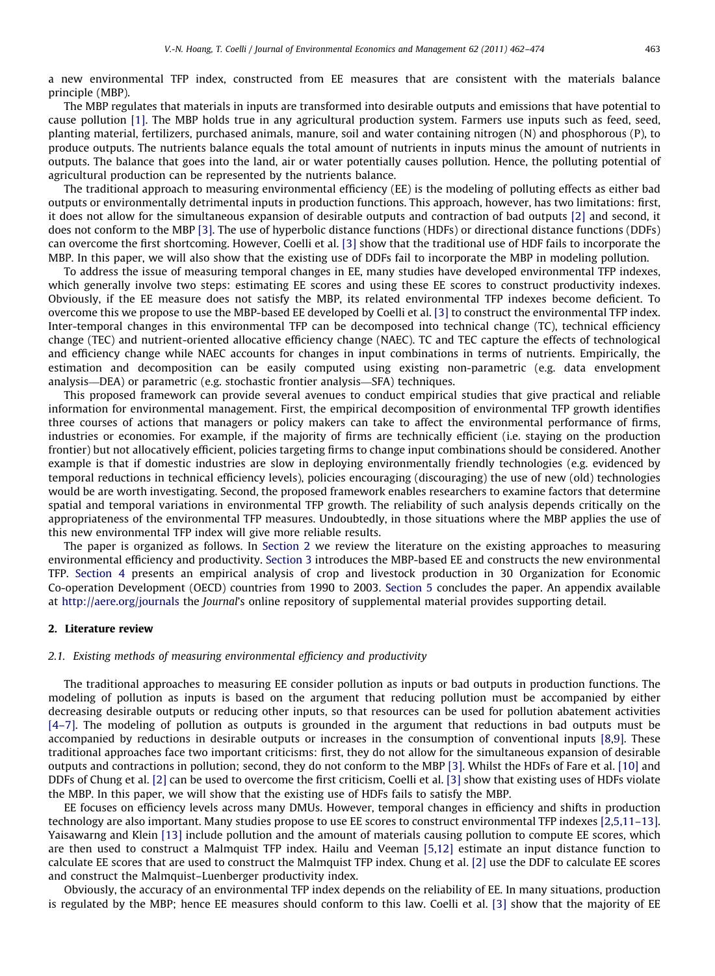a new environmental TFP index, constructed from EE measures that are consistent with the materials balance principle (MBP).

The MBP regulates that materials in inputs are transformed into desirable outputs and emissions that have potential to cause pollution [\[1\].](#page--1-0) The MBP holds true in any agricultural production system. Farmers use inputs such as feed, seed, planting material, fertilizers, purchased animals, manure, soil and water containing nitrogen (N) and phosphorous (P), to produce outputs. The nutrients balance equals the total amount of nutrients in inputs minus the amount of nutrients in outputs. The balance that goes into the land, air or water potentially causes pollution. Hence, the polluting potential of agricultural production can be represented by the nutrients balance.

The traditional approach to measuring environmental efficiency (EE) is the modeling of polluting effects as either bad outputs or environmentally detrimental inputs in production functions. This approach, however, has two limitations: first, it does not allow for the simultaneous expansion of desirable outputs and contraction of bad outputs [\[2\]](#page--1-0) and second, it does not conform to the MBP [\[3\].](#page--1-0) The use of hyperbolic distance functions (HDFs) or directional distance functions (DDFs) can overcome the first shortcoming. However, Coelli et al. [\[3\]](#page--1-0) show that the traditional use of HDF fails to incorporate the MBP. In this paper, we will also show that the existing use of DDFs fail to incorporate the MBP in modeling pollution.

To address the issue of measuring temporal changes in EE, many studies have developed environmental TFP indexes, which generally involve two steps: estimating EE scores and using these EE scores to construct productivity indexes. Obviously, if the EE measure does not satisfy the MBP, its related environmental TFP indexes become deficient. To overcome this we propose to use the MBP-based EE developed by Coelli et al. [\[3\]](#page--1-0) to construct the environmental TFP index. Inter-temporal changes in this environmental TFP can be decomposed into technical change (TC), technical efficiency change (TEC) and nutrient-oriented allocative efficiency change (NAEC). TC and TEC capture the effects of technological and efficiency change while NAEC accounts for changes in input combinations in terms of nutrients. Empirically, the estimation and decomposition can be easily computed using existing non-parametric (e.g. data envelopment analysis—DEA) or parametric (e.g. stochastic frontier analysis—SFA) techniques.

This proposed framework can provide several avenues to conduct empirical studies that give practical and reliable information for environmental management. First, the empirical decomposition of environmental TFP growth identifies three courses of actions that managers or policy makers can take to affect the environmental performance of firms, industries or economies. For example, if the majority of firms are technically efficient (i.e. staying on the production frontier) but not allocatively efficient, policies targeting firms to change input combinations should be considered. Another example is that if domestic industries are slow in deploying environmentally friendly technologies (e.g. evidenced by temporal reductions in technical efficiency levels), policies encouraging (discouraging) the use of new (old) technologies would be are worth investigating. Second, the proposed framework enables researchers to examine factors that determine spatial and temporal variations in environmental TFP growth. The reliability of such analysis depends critically on the appropriateness of the environmental TFP measures. Undoubtedly, in those situations where the MBP applies the use of this new environmental TFP index will give more reliable results.

The paper is organized as follows. In Section 2 we review the literature on the existing approaches to measuring environmental efficiency and productivity. [Section 3](#page--1-0) introduces the MBP-based EE and constructs the new environmental TFP. [Section 4](#page--1-0) presents an empirical analysis of crop and livestock production in 30 Organization for Economic Co-operation Development (OECD) countries from 1990 to 2003. [Section 5](#page--1-0) concludes the paper. An appendix available at http://aere.org/journals the Journal's online repository of supplemental material provides supporting detail.

#### 2. Literature review

#### 2.1. Existing methods of measuring environmental efficiency and productivity

The traditional approaches to measuring EE consider pollution as inputs or bad outputs in production functions. The modeling of pollution as inputs is based on the argument that reducing pollution must be accompanied by either decreasing desirable outputs or reducing other inputs, so that resources can be used for pollution abatement activities [\[4–7\]](#page--1-0). The modeling of pollution as outputs is grounded in the argument that reductions in bad outputs must be accompanied by reductions in desirable outputs or increases in the consumption of conventional inputs [\[8,9\]](#page--1-0). These traditional approaches face two important criticisms: first, they do not allow for the simultaneous expansion of desirable outputs and contractions in pollution; second, they do not conform to the MBP [\[3\]](#page--1-0). Whilst the HDFs of Fare et al. [\[10\]](#page--1-0) and DDFs of Chung et al. [\[2\]](#page--1-0) can be used to overcome the first criticism, Coelli et al. [\[3\]](#page--1-0) show that existing uses of HDFs violate the MBP. In this paper, we will show that the existing use of HDFs fails to satisfy the MBP.

EE focuses on efficiency levels across many DMUs. However, temporal changes in efficiency and shifts in production technology are also important. Many studies propose to use EE scores to construct environmental TFP indexes [\[2,5,11–13\]](#page--1-0). Yaisawarng and Klein [\[13\]](#page--1-0) include pollution and the amount of materials causing pollution to compute EE scores, which are then used to construct a Malmquist TFP index. Hailu and Veeman [\[5,12\]](#page--1-0) estimate an input distance function to calculate EE scores that are used to construct the Malmquist TFP index. Chung et al. [\[2\]](#page--1-0) use the DDF to calculate EE scores and construct the Malmquist–Luenberger productivity index.

Obviously, the accuracy of an environmental TFP index depends on the reliability of EE. In many situations, production is regulated by the MBP; hence EE measures should conform to this law. Coelli et al. [\[3\]](#page--1-0) show that the majority of EE